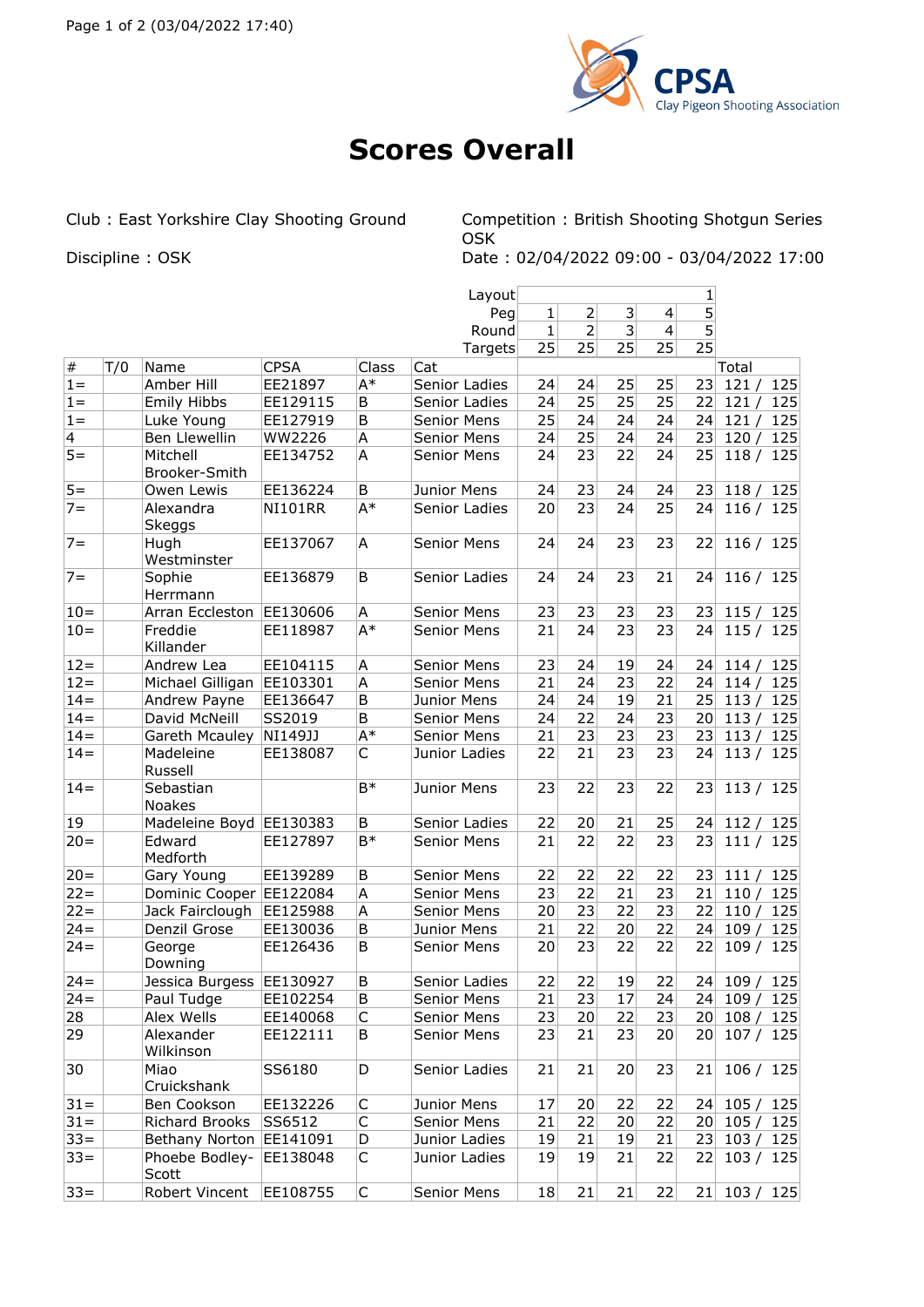

## **Scores Overall**

Club : East Yorkshire Clay Shooting Ground Competition : British Shooting Shotgun Series OSK Discipline : OSK Date : 02/04/2022 09:00 - 03/04/2022 17:00

|                |     |                            |                |       | Layout             | 1            |                |    |                |                |                          |     |
|----------------|-----|----------------------------|----------------|-------|--------------------|--------------|----------------|----|----------------|----------------|--------------------------|-----|
|                |     |                            |                |       | Peg                | 1            | $\overline{2}$ | 3  | $\overline{4}$ | 5              |                          |     |
|                |     |                            |                |       | Round              | $\mathbf{1}$ | $\overline{2}$ | 3  | $\overline{4}$ | $\overline{5}$ |                          |     |
|                |     |                            |                |       | Targets            | 25           | 25             | 25 | 25             | 25             |                          |     |
| $\vert \#$     | T/0 | Name                       | <b>CPSA</b>    | Class | Cat                |              |                |    |                |                | Total                    |     |
| $1 =$          |     | Amber Hill                 | EE21897        | A*    | Senior Ladies      | 24           | 24             | 25 | 25             | 23             | 121/                     | 125 |
| $1 =$          |     | Emily Hibbs                | EE129115       | B     | Senior Ladies      | 24           | 25             | 25 | 25             | 22             | 121/                     | 125 |
| $1 =$          |     | Luke Young                 | EE127919       | B     | Senior Mens        | 25           | 24             | 24 | 24             | 24             | 121/                     | 125 |
| $\overline{4}$ |     | Ben Llewellin              | WW2226         | Α     | Senior Mens        | 24           | 25             | 24 | 24             | 23             | 120/                     | 125 |
| $5=$           |     | Mitchell<br>Brooker-Smith  | EE134752       | A     | Senior Mens        | 24           | 23             | 22 | 24             | 25             | 118/                     | 125 |
| $5 =$          |     | Owen Lewis                 | EE136224       | B     | Junior Mens        | 24           | 23             | 24 | 24             | 23             | 118/                     | 125 |
| $7 =$          |     | Alexandra<br><b>Skeggs</b> | <b>NI101RR</b> | $A^*$ | Senior Ladies      | 20           | 23             | 24 | 25             | 24             | 116/                     | 125 |
| $7 =$          |     | Hugh<br>Westminster        | EE137067       | A     | Senior Mens        | 24           | 24             | 23 | 23             | 22             | 116 / 125                |     |
| $7 =$          |     | Sophie<br>Herrmann         | EE136879       | B     | Senior Ladies      | 24           | 24             | 23 | 21             | 24             | 116 / 125                |     |
| $10 =$         |     | Arran Eccleston            | EE130606       | Α     | Senior Mens        | 23           | 23             | 23 | 23             | 23             | 115/                     | 125 |
| $10=$          |     | Freddie<br>Killander       | EE118987       | $A^*$ | <b>Senior Mens</b> | 21           | 24             | 23 | 23             | 24             | 115 / 125                |     |
| $12 =$         |     | Andrew Lea                 | EE104115       | Α     | Senior Mens        | 23           | 24             | 19 | 24             | 24             | 114/                     | 125 |
| $12 =$         |     | Michael Gilligan EE103301  |                | Α     | <b>Senior Mens</b> | 21           | 24             | 23 | 22             | 24             | 114/                     | 125 |
| $14=$          |     | Andrew Payne               | EE136647       | B     | Junior Mens        | 24           | 24             | 19 | 21             | 25             | 113/                     | 125 |
| $14=$          |     | David McNeill              | SS2019         | B     | Senior Mens        | 24           | 22             | 24 | 23             | 20             | 113/                     | 125 |
| $14 =$         |     | Gareth Mcauley             | NI149JJ        | $A^*$ | <b>Senior Mens</b> | 21           | 23             | 23 | 23             | 23             | 113/                     | 125 |
| $14 =$         |     | Madeleine<br>Russell       | EE138087       | C     | Junior Ladies      | 22           | 21             | 23 | 23             | 24             | 113/                     | 125 |
| $14 =$         |     | Sebastian<br>Noakes        |                | $B*$  | Junior Mens        | 23           | 22             | 23 | 22             | 23             | 113/                     | 125 |
| 19             |     | Madeleine Boyd EE130383    |                | B     | Senior Ladies      | 22           | 20             | 21 | 25             | 24             | 112/                     | 125 |
| $20 =$         |     | Edward<br>Medforth         | EE127897       | $B*$  | <b>Senior Mens</b> | 21           | 22             | 22 | 23             | 23             | 111/                     | 125 |
| $ 20=$         |     | Gary Young                 | EE139289       | B     | Senior Mens        | 22           | 22             | 22 | 22             | 23             | 111/                     | 125 |
| $22 =$         |     | Dominic Cooper EE122084    |                | A     | Senior Mens        | 23           | 22             | 21 | 23             | 21             | 110/                     | 125 |
| $22 =$         |     | Jack Fairclough            | EE125988       | Α     | <b>Senior Mens</b> | 20           | 23             | 22 | 23             | 22             | 110/                     | 125 |
| $24 =$         |     | Denzil Grose               | EE130036       | B     | Junior Mens        | 21           | 22             | 20 | 22             | 24             | 109/                     | 125 |
| $24 =$         |     | George<br>Downing          | EE126436       | B     | <b>Senior Mens</b> | 20           | 23             | 22 | 22             | 22             | 109 / 125                |     |
| $24 =$         |     | Jessica Burgess EE130927   |                | B     | Senior Ladies      | 22           | 22             | 19 | 22             |                | 24 109 / 125             |     |
| $24 =$         |     | Paul Tudge                 | EE102254       | B     | Senior Mens        | 21           | 23             | 17 | 24             |                | 24 109 / 125             |     |
| 28             |     | Alex Wells                 | EE140068       | C     | Senior Mens        | 23           | 20             | 22 | 23             |                | 20 108 / 125             |     |
| 29             |     | Alexander<br>Wilkinson     | EE122111       | B     | Senior Mens        | 23           | 21             | 23 | 20             |                | 20 107 / 125             |     |
| 30             |     | Miao<br>Cruickshank        | SS6180         | D     | Senior Ladies      | 21           | 21             | 20 | 23             | 21             | 106 / 125                |     |
| $31 =$         |     | Ben Cookson                | EE132226       | C     | Junior Mens        | 17           | 20             | 22 | 22             |                | 24 105/                  | 125 |
| $31 =$         |     | Richard Brooks             | SS6512         | C     | Senior Mens        | 21           | 22             | 20 | 22             |                | 20 105/125               |     |
| $33 =$         |     | Bethany Norton EE141091    |                | D     | Junior Ladies      | 19           | 21             | 19 | 21             |                | 23 103 / 125             |     |
| $ 33=$         |     | Phoebe Bodley-<br>Scott    | EE138048       | C     | Junior Ladies      | 19           | 19             | 21 | 22             |                | 22 103 / 125             |     |
| $ 33=$         |     | Robert Vincent             | EE108755       | C     | Senior Mens        | 18           | 21             | 21 | 22             |                | $21 \mid 103 \;/ \; 125$ |     |